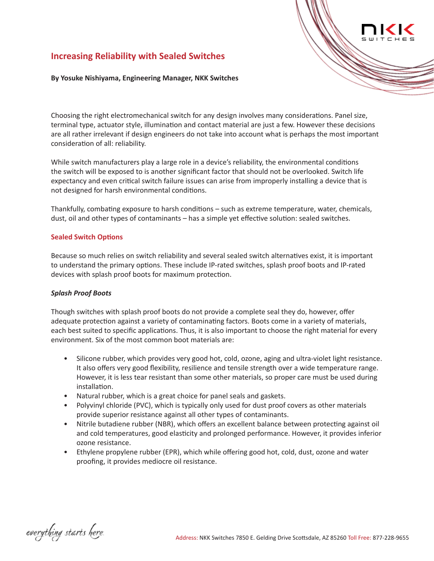# **Increasing Reliability with Sealed Switches**

**By Yosuke Nishiyama, Engineering Manager, NKK Switches**

Choosing the right electromechanical switch for any design involves many considerations. Panel size, terminal type, actuator style, illumination and contact material are just a few. However these decisions are all rather irrelevant if design engineers do not take into account what is perhaps the most important consideration of all: reliability.

While switch manufacturers play a large role in a device's reliability, the environmental conditions the switch will be exposed to is another significant factor that should not be overlooked. Switch life expectancy and even critical switch failure issues can arise from improperly installing a device that is not designed for harsh environmental conditions.

Thankfully, combating exposure to harsh conditions – such as extreme temperature, water, chemicals, dust, oil and other types of contaminants – has a simple yet effective solution: sealed switches.

## **Sealed Switch Options**

Because so much relies on switch reliability and several sealed switch alternatives exist, it is important to understand the primary options. These include IP-rated switches, splash proof boots and IP-rated devices with splash proof boots for maximum protection.

## *Splash Proof Boots*

Though switches with splash proof boots do not provide a complete seal they do, however, offer adequate protection against a variety of contaminating factors. Boots come in a variety of materials, each best suited to specific applications. Thus, it is also important to choose the right material for every environment. Six of the most common boot materials are:

- Silicone rubber, which provides very good hot, cold, ozone, aging and ultra-violet light resistance. It also offers very good flexibility, resilience and tensile strength over a wide temperature range. However, it is less tear resistant than some other materials, so proper care must be used during installation.
- Natural rubber, which is a great choice for panel seals and gaskets.
- Polyvinyl chloride (PVC), which is typically only used for dust proof covers as other materials provide superior resistance against all other types of contaminants.
- Nitrile butadiene rubber (NBR), which offers an excellent balance between protecting against oil and cold temperatures, good elasticity and prolonged performance. However, it provides inferior ozone resistance.
- Ethylene propylene rubber (EPR), which while offering good hot, cold, dust, ozone and water proofing, it provides mediocre oil resistance.

everything starts here.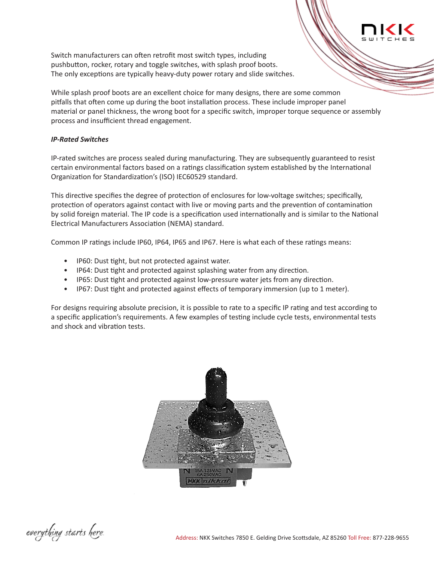Switch manufacturers can often retrofit most switch types, including pushbutton, rocker, rotary and toggle switches, with splash proof boots. The only exceptions are typically heavy-duty power rotary and slide switches.

While splash proof boots are an excellent choice for many designs, there are some common pitfalls that often come up during the boot installation process. These include improper panel material or panel thickness, the wrong boot for a specific switch, improper torque sequence or assembly process and insufficient thread engagement.

## *IP-Rated Switches*

IP-rated switches are process sealed during manufacturing. They are subsequently guaranteed to resist certain environmental factors based on a ratings classification system established by the International Organization for Standardization's (ISO) IEC60529 standard.

This directive specifies the degree of protection of enclosures for low-voltage switches; specifically, protection of operators against contact with live or moving parts and the prevention of contamination by solid foreign material. The IP code is a specification used internationally and is similar to the National Electrical Manufacturers Association (NEMA) standard.

Common IP ratings include IP60, IP64, IP65 and IP67. Here is what each of these ratings means:

- IP60: Dust tight, but not protected against water.
- IP64: Dust tight and protected against splashing water from any direction.
- IP65: Dust tight and protected against low-pressure water jets from any direction.
- IP67: Dust tight and protected against effects of temporary immersion (up to 1 meter).

For designs requiring absolute precision, it is possible to rate to a specific IP rating and test according to a specific application's requirements. A few examples of testing include cycle tests, environmental tests and shock and vibration tests.



everything starts here.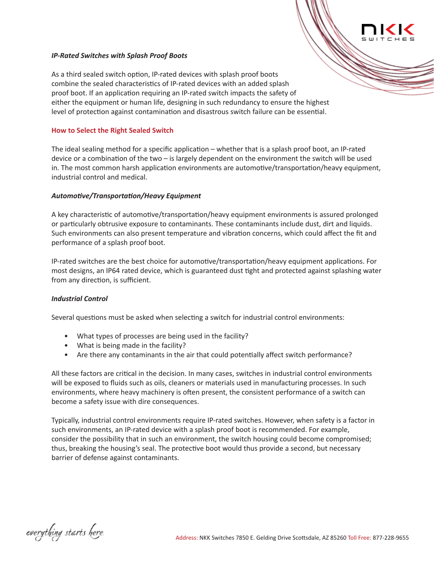#### *IP-Rated Switches with Splash Proof Boots*

As a third sealed switch option, IP-rated devices with splash proof boots combine the sealed characteristics of IP-rated devices with an added splash proof boot. If an application requiring an IP-rated switch impacts the safety of either the equipment or human life, designing in such redundancy to ensure the highest level of protection against contamination and disastrous switch failure can be essential.

#### **How to Select the Right Sealed Switch**

The ideal sealing method for a specific application – whether that is a splash proof boot, an IP-rated device or a combination of the two – is largely dependent on the environment the switch will be used in. The most common harsh application environments are automotive/transportation/heavy equipment, industrial control and medical.

#### *Automotive/Transportation/Heavy Equipment*

A key characteristic of automotive/transportation/heavy equipment environments is assured prolonged or particularly obtrusive exposure to contaminants. These contaminants include dust, dirt and liquids. Such environments can also present temperature and vibration concerns, which could affect the fit and performance of a splash proof boot.

IP-rated switches are the best choice for automotive/transportation/heavy equipment applications. For most designs, an IP64 rated device, which is guaranteed dust tight and protected against splashing water from any direction, is sufficient.

#### *Industrial Control*

Several questions must be asked when selecting a switch for industrial control environments:

- What types of processes are being used in the facility?
- What is being made in the facility?
- Are there any contaminants in the air that could potentially affect switch performance?

All these factors are critical in the decision. In many cases, switches in industrial control environments will be exposed to fluids such as oils, cleaners or materials used in manufacturing processes. In such environments, where heavy machinery is often present, the consistent performance of a switch can become a safety issue with dire consequences.

Typically, industrial control environments require IP-rated switches. However, when safety is a factor in such environments, an IP-rated device with a splash proof boot is recommended. For example, consider the possibility that in such an environment, the switch housing could become compromised; thus, breaking the housing's seal. The protective boot would thus provide a second, but necessary barrier of defense against contaminants.

everything starts here.